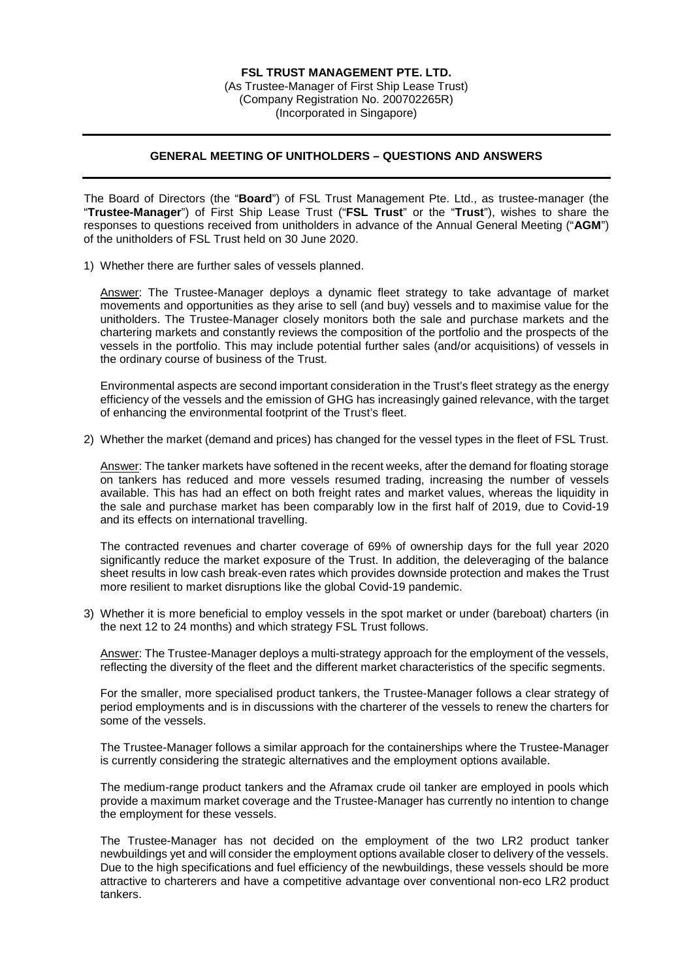(As Trustee-Manager of First Ship Lease Trust) (Company Registration No. 200702265R) (Incorporated in Singapore)

## **GENERAL MEETING OF UNITHOLDERS – QUESTIONS AND ANSWERS**

The Board of Directors (the "**Board**") of FSL Trust Management Pte. Ltd., as trustee-manager (the "**Trustee-Manager**") of First Ship Lease Trust ("**FSL Trust**" or the "**Trust**"), wishes to share the responses to questions received from unitholders in advance of the Annual General Meeting ("**AGM**") of the unitholders of FSL Trust held on 30 June 2020.

1) Whether there are further sales of vessels planned.

Answer: The Trustee-Manager deploys a dynamic fleet strategy to take advantage of market movements and opportunities as they arise to sell (and buy) vessels and to maximise value for the unitholders. The Trustee-Manager closely monitors both the sale and purchase markets and the chartering markets and constantly reviews the composition of the portfolio and the prospects of the vessels in the portfolio. This may include potential further sales (and/or acquisitions) of vessels in the ordinary course of business of the Trust.

Environmental aspects are second important consideration in the Trust's fleet strategy as the energy efficiency of the vessels and the emission of GHG has increasingly gained relevance, with the target of enhancing the environmental footprint of the Trust's fleet.

2) Whether the market (demand and prices) has changed for the vessel types in the fleet of FSL Trust.

Answer: The tanker markets have softened in the recent weeks, after the demand for floating storage on tankers has reduced and more vessels resumed trading, increasing the number of vessels available. This has had an effect on both freight rates and market values, whereas the liquidity in the sale and purchase market has been comparably low in the first half of 2019, due to Covid-19 and its effects on international travelling.

The contracted revenues and charter coverage of 69% of ownership days for the full year 2020 significantly reduce the market exposure of the Trust. In addition, the deleveraging of the balance sheet results in low cash break-even rates which provides downside protection and makes the Trust more resilient to market disruptions like the global Covid-19 pandemic.

3) Whether it is more beneficial to employ vessels in the spot market or under (bareboat) charters (in the next 12 to 24 months) and which strategy FSL Trust follows.

Answer: The Trustee-Manager deploys a multi-strategy approach for the employment of the vessels, reflecting the diversity of the fleet and the different market characteristics of the specific segments.

For the smaller, more specialised product tankers, the Trustee-Manager follows a clear strategy of period employments and is in discussions with the charterer of the vessels to renew the charters for some of the vessels.

The Trustee-Manager follows a similar approach for the containerships where the Trustee-Manager is currently considering the strategic alternatives and the employment options available.

The medium-range product tankers and the Aframax crude oil tanker are employed in pools which provide a maximum market coverage and the Trustee-Manager has currently no intention to change the employment for these vessels.

The Trustee-Manager has not decided on the employment of the two LR2 product tanker newbuildings yet and will consider the employment options available closer to delivery of the vessels. Due to the high specifications and fuel efficiency of the newbuildings, these vessels should be more attractive to charterers and have a competitive advantage over conventional non-eco LR2 product tankers.